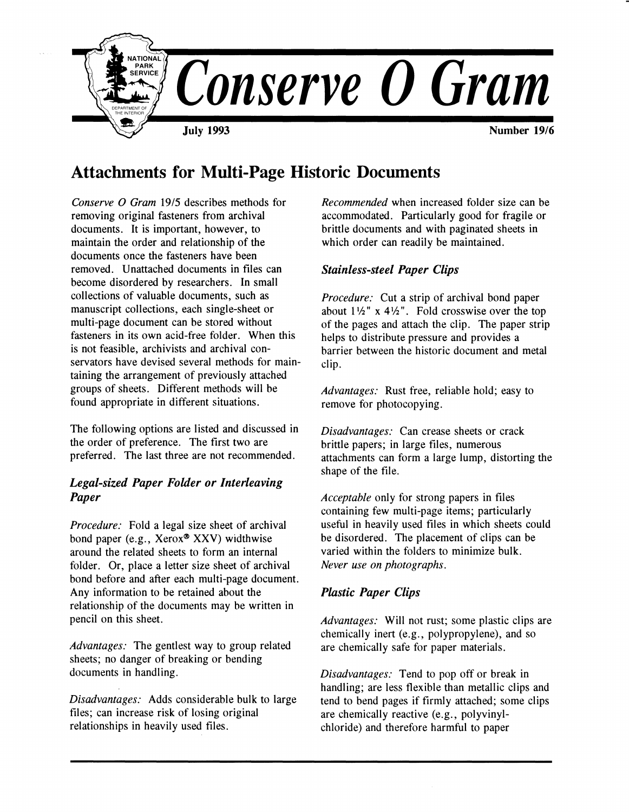

# **Attachments for Multi-Page Historic Documents**

*Conserve O Gram* 19/5 describes methods for removing original fasteners from archival documents. It is important, however, to maintain the order and relationship of the documents once the fasteners have been removed. Unattached documents in files can become disordered by researchers. In small collections of valuable documents, such as manuscript collections, each single-sheet or multi-page document can be stored without fasteners in its own acid-free folder. When this is not feasible, archivists and archival conservators have devised several methods for maintaining the arrangement of previously attached groups of sheets. Different methods will be found appropriate in different situations.

The following options are listed and discussed in the order of preference. The first two are preferred. The last three are not recommended.

## *Legal-sized Paper Folder or Interleaving Paper*

*Procedure:* Fold a legal size sheet of archival bond paper (e.g., Xerox® **XXV)** widthwise around the related sheets to form an internal folder. Or, place a letter size sheet of archival bond before and after each multi-page document. Any information to be retained about the relationship of the documents may be written in pencil on this sheet.

*Advantages:* The gentlest way to group related sheets; no danger of breaking or bending documents in handling.

*Disadvantages:* Adds considerable bulk to large files; can increase risk of losing original relationships in heavily used files.

*Recommended* when increased folder size can be accommodated. Particularly good for fragile or brittle documents and with paginated sheets in which order can readily be maintained.

## *Stainless-steel Paper Clips*

*Procedure:* Cut a strip of archival bond paper about  $1\frac{1}{2}$ " x  $4\frac{1}{2}$ ". Fold crosswise over the top of the pages and attach the clip. The paper strip helps to distribute pressure and provides a barrier between the historic document and metal clip.

*Advantages:* Rust free, reliable hold; easy to remove for photocopying.

*Disadvantages:* Can crease sheets or crack brittle papers; in large files, numerous attachments can form a large lump, distorting the shape of the file.

*Acceptable* only for strong papers in files containing few multi-page items; particularly useful in heavily used files in which sheets could be disordered. The placement of clips can be varied within the folders to minimize bulk. *Never use on photographs.* 

## *Plastic Paper Clips*

*Advantages:* Will not rust; some plastic clips are chemically inert (e.g., polypropylene), and so are chemically safe for paper materials.

*Disadvantages:* Tend to pop off or break in handling; are less flexible than metallic clips and tend to bend pages if firmly attached; some clips are chemically reactive (e.g., polyvinylchloride) and therefore harmful to paper